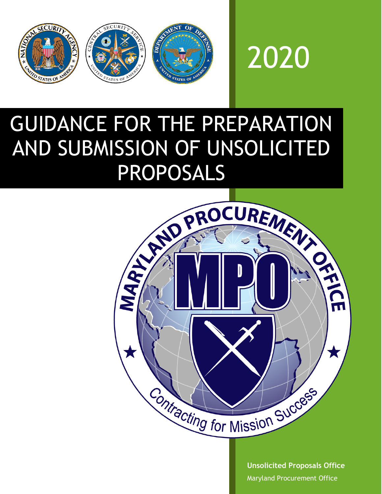



# GUIDANCE FOR THE PREPARATION AND SUBMISSION OF UNSOLICITED PROPOSALS



**Unsolicited Proposals Office** Maryland Procurement Office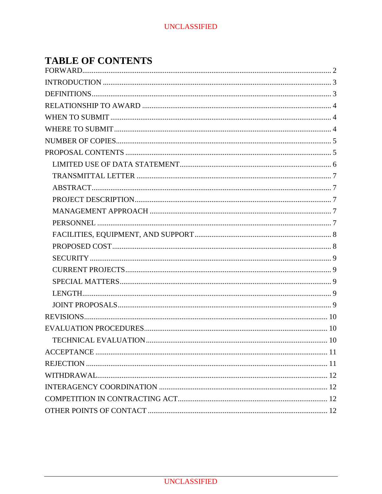# **TABLE OF CONTENTS**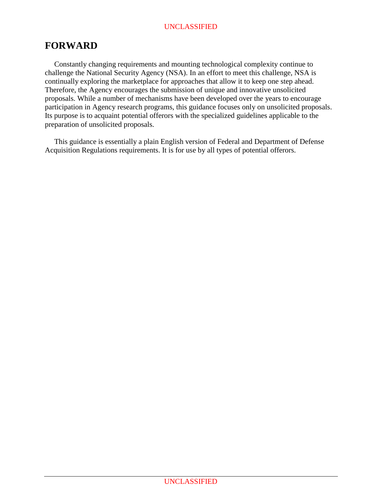# <span id="page-2-0"></span>**FORWARD**

 Constantly changing requirements and mounting technological complexity continue to challenge the National Security Agency (NSA). In an effort to meet this challenge, NSA is continually exploring the marketplace for approaches that allow it to keep one step ahead. Therefore, the Agency encourages the submission of unique and innovative unsolicited proposals. While a number of mechanisms have been developed over the years to encourage participation in Agency research programs, this guidance focuses only on unsolicited proposals. Its purpose is to acquaint potential offerors with the specialized guidelines applicable to the preparation of unsolicited proposals.

 This guidance is essentially a plain English version of Federal and Department of Defense Acquisition Regulations requirements. It is for use by all types of potential offerors.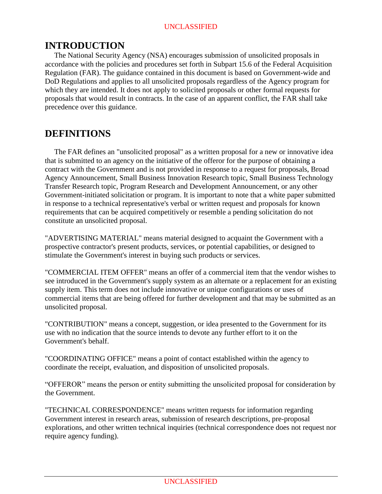# <span id="page-3-0"></span>**INTRODUCTION**

 The National Security Agency (NSA) encourages submission of unsolicited proposals in accordance with the policies and procedures set forth in Subpart 15.6 of the Federal Acquisition Regulation (FAR). The guidance contained in this document is based on Government-wide and DoD Regulations and applies to all unsolicited proposals regardless of the Agency program for which they are intended. It does not apply to solicited proposals or other formal requests for proposals that would result in contracts. In the case of an apparent conflict, the FAR shall take precedence over this guidance.

## <span id="page-3-1"></span>**DEFINITIONS**

 The FAR defines an "unsolicited proposal" as a written proposal for a new or innovative idea that is submitted to an agency on the initiative of the offeror for the purpose of obtaining a contract with the Government and is not provided in response to a request for proposals, Broad Agency Announcement, Small Business Innovation Research topic, Small Business Technology Transfer Research topic, Program Research and Development Announcement, or any other Government-initiated solicitation or program. It is important to note that a white paper submitted in response to a technical representative's verbal or written request and proposals for known requirements that can be acquired competitively or resemble a pending solicitation do not constitute an unsolicited proposal.

"ADVERTISING MATERIAL" means material designed to acquaint the Government with a prospective contractor's present products, services, or potential capabilities, or designed to stimulate the Government's interest in buying such products or services.

"COMMERCIAL ITEM OFFER" means an offer of a commercial item that the vendor wishes to see introduced in the Government's supply system as an alternate or a replacement for an existing supply item. This term does not include innovative or unique configurations or uses of commercial items that are being offered for further development and that may be submitted as an unsolicited proposal.

"CONTRIBUTION" means a concept, suggestion, or idea presented to the Government for its use with no indication that the source intends to devote any further effort to it on the Government's behalf.

"COORDINATING OFFICE" means a point of contact established within the agency to coordinate the receipt, evaluation, and disposition of unsolicited proposals.

"OFFEROR" means the person or entity submitting the unsolicited proposal for consideration by the Government.

"TECHNICAL CORRESPONDENCE" means written requests for information regarding Government interest in research areas, submission of research descriptions, pre-proposal explorations, and other written technical inquiries (technical correspondence does not request nor require agency funding).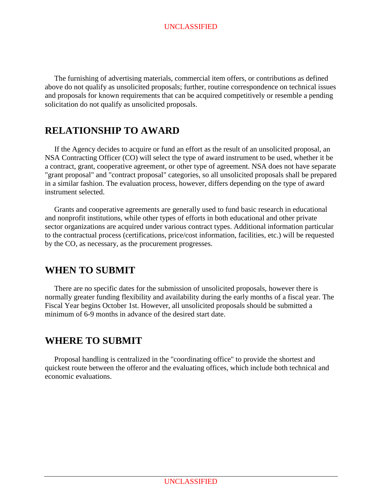The furnishing of advertising materials, commercial item offers, or contributions as defined above do not qualify as unsolicited proposals; further, routine correspondence on technical issues and proposals for known requirements that can be acquired competitively or resemble a pending solicitation do not qualify as unsolicited proposals.

## <span id="page-4-0"></span>**RELATIONSHIP TO AWARD**

 If the Agency decides to acquire or fund an effort as the result of an unsolicited proposal, an NSA Contracting Officer (CO) will select the type of award instrument to be used, whether it be a contract, grant, cooperative agreement, or other type of agreement. NSA does not have separate "grant proposal" and "contract proposal" categories, so all unsolicited proposals shall be prepared in a similar fashion. The evaluation process, however, differs depending on the type of award instrument selected.

 Grants and cooperative agreements are generally used to fund basic research in educational and nonprofit institutions, while other types of efforts in both educational and other private sector organizations are acquired under various contract types. Additional information particular to the contractual process (certifications, price/cost information, facilities, etc.) will be requested by the CO, as necessary, as the procurement progresses.

# <span id="page-4-1"></span>**WHEN TO SUBMIT**

 There are no specific dates for the submission of unsolicited proposals, however there is normally greater funding flexibility and availability during the early months of a fiscal year. The Fiscal Year begins October 1st. However, all unsolicited proposals should be submitted a minimum of 6-9 months in advance of the desired start date.

# <span id="page-4-2"></span>**WHERE TO SUBMIT**

 Proposal handling is centralized in the "coordinating office" to provide the shortest and quickest route between the offeror and the evaluating offices, which include both technical and economic evaluations.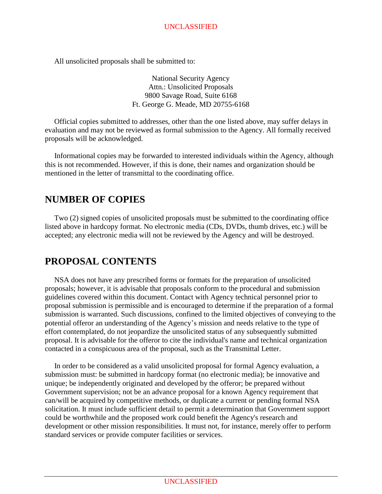All unsolicited proposals shall be submitted to:

National Security Agency Attn.: Unsolicited Proposals 9800 Savage Road, Suite 6168 Ft. George G. Meade, MD 20755-6168

 Official copies submitted to addresses, other than the one listed above, may suffer delays in evaluation and may not be reviewed as formal submission to the Agency. All formally received proposals will be acknowledged.

 Informational copies may be forwarded to interested individuals within the Agency, although this is not recommended. However, if this is done, their names and organization should be mentioned in the letter of transmittal to the coordinating office.

## <span id="page-5-0"></span>**NUMBER OF COPIES**

 Two (2) signed copies of unsolicited proposals must be submitted to the coordinating office listed above in hardcopy format. No electronic media (CDs, DVDs, thumb drives, etc.) will be accepted; any electronic media will not be reviewed by the Agency and will be destroyed.

# <span id="page-5-1"></span>**PROPOSAL CONTENTS**

 NSA does not have any prescribed forms or formats for the preparation of unsolicited proposals; however, it is advisable that proposals conform to the procedural and submission guidelines covered within this document. Contact with Agency technical personnel prior to proposal submission is permissible and is encouraged to determine if the preparation of a formal submission is warranted. Such discussions, confined to the limited objectives of conveying to the potential offeror an understanding of the Agency's mission and needs relative to the type of effort contemplated, do not jeopardize the unsolicited status of any subsequently submitted proposal. It is advisable for the offeror to cite the individual's name and technical organization contacted in a conspicuous area of the proposal, such as the Transmittal Letter.

 In order to be considered as a valid unsolicited proposal for formal Agency evaluation, a submission must: be submitted in hardcopy format (no electronic media); be innovative and unique; be independently originated and developed by the offeror; be prepared without Government supervision; not be an advance proposal for a known Agency requirement that can/will be acquired by competitive methods, or duplicate a current or pending formal NSA solicitation. It must include sufficient detail to permit a determination that Government support could be worthwhile and the proposed work could benefit the Agency's research and development or other mission responsibilities. It must not, for instance, merely offer to perform standard services or provide computer facilities or services.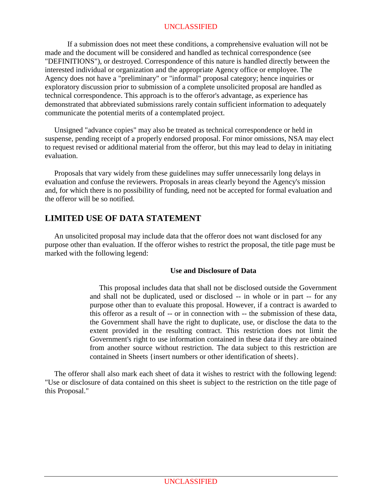If a submission does not meet these conditions, a comprehensive evaluation will not be made and the document will be considered and handled as technical correspondence (see "DEFINITIONS"), or destroyed. Correspondence of this nature is handled directly between the interested individual or organization and the appropriate Agency office or employee. The Agency does not have a "preliminary" or "informal" proposal category; hence inquiries or exploratory discussion prior to submission of a complete unsolicited proposal are handled as technical correspondence. This approach is to the offeror's advantage, as experience has demonstrated that abbreviated submissions rarely contain sufficient information to adequately communicate the potential merits of a contemplated project.

 Unsigned "advance copies" may also be treated as technical correspondence or held in suspense, pending receipt of a properly endorsed proposal. For minor omissions, NSA may elect to request revised or additional material from the offeror, but this may lead to delay in initiating evaluation.

 Proposals that vary widely from these guidelines may suffer unnecessarily long delays in evaluation and confuse the reviewers. Proposals in areas clearly beyond the Agency's mission and, for which there is no possibility of funding, need not be accepted for formal evaluation and the offeror will be so notified.

## <span id="page-6-0"></span>**LIMITED USE OF DATA STATEMENT**

 An unsolicited proposal may include data that the offeror does not want disclosed for any purpose other than evaluation. If the offeror wishes to restrict the proposal, the title page must be marked with the following legend:

#### **Use and Disclosure of Data**

 This proposal includes data that shall not be disclosed outside the Government and shall not be duplicated, used or disclosed -- in whole or in part -- for any purpose other than to evaluate this proposal. However, if a contract is awarded to this offeror as a result of -- or in connection with -- the submission of these data, the Government shall have the right to duplicate, use, or disclose the data to the extent provided in the resulting contract. This restriction does not limit the Government's right to use information contained in these data if they are obtained from another source without restriction. The data subject to this restriction are contained in Sheets {insert numbers or other identification of sheets}.

<span id="page-6-1"></span> The offeror shall also mark each sheet of data it wishes to restrict with the following legend: "Use or disclosure of data contained on this sheet is subject to the restriction on the title page of this Proposal."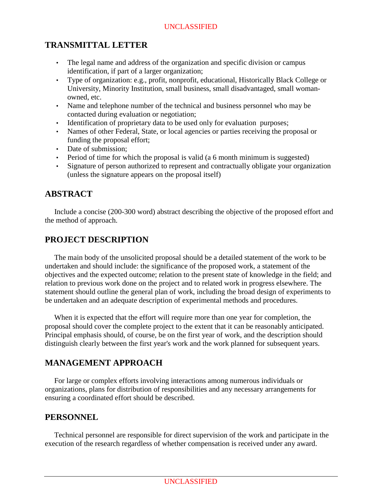## **TRANSMITTAL LETTER**

- The legal name and address of the organization and specific division or campus identification, if part of a larger organization;
- Type of organization: e.g., profit, nonprofit, educational, Historically Black College or University, Minority Institution, small business, small disadvantaged, small womanowned, etc.
- Name and telephone number of the technical and business personnel who may be contacted during evaluation or negotiation;
- Identification of proprietary data to be used only for evaluation purposes;
- Names of other Federal, State, or local agencies or parties receiving the proposal or funding the proposal effort;
- Date of submission:
- Period of time for which the proposal is valid (a 6 month minimum is suggested)
- Signature of person authorized to represent and contractually obligate your organization (unless the signature appears on the proposal itself)

## <span id="page-7-0"></span>**ABSTRACT**

 Include a concise (200-300 word) abstract describing the objective of the proposed effort and the method of approach.

## <span id="page-7-1"></span>**PROJECT DESCRIPTION**

 The main body of the unsolicited proposal should be a detailed statement of the work to be undertaken and should include: the significance of the proposed work, a statement of the objectives and the expected outcome; relation to the present state of knowledge in the field; and relation to previous work done on the project and to related work in progress elsewhere. The statement should outline the general plan of work, including the broad design of experiments to be undertaken and an adequate description of experimental methods and procedures.

 When it is expected that the effort will require more than one year for completion, the proposal should cover the complete project to the extent that it can be reasonably anticipated. Principal emphasis should, of course, be on the first year of work, and the description should distinguish clearly between the first year's work and the work planned for subsequent years.

## <span id="page-7-2"></span>**MANAGEMENT APPROACH**

 For large or complex efforts involving interactions among numerous individuals or organizations, plans for distribution of responsibilities and any necessary arrangements for ensuring a coordinated effort should be described.

#### <span id="page-7-3"></span>**PERSONNEL**

 Technical personnel are responsible for direct supervision of the work and participate in the execution of the research regardless of whether compensation is received under any award.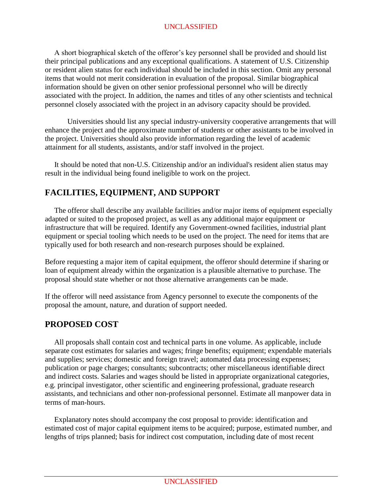A short biographical sketch of the offeror's key personnel shall be provided and should list their principal publications and any exceptional qualifications. A statement of U.S. Citizenship or resident alien status for each individual should be included in this section. Omit any personal items that would not merit consideration in evaluation of the proposal. Similar biographical information should be given on other senior professional personnel who will be directly associated with the project. In addition, the names and titles of any other scientists and technical personnel closely associated with the project in an advisory capacity should be provided.

Universities should list any special industry-university cooperative arrangements that will enhance the project and the approximate number of students or other assistants to be involved in the project. Universities should also provide information regarding the level of academic attainment for all students, assistants, and/or staff involved in the project.

 It should be noted that non-U.S. Citizenship and/or an individual's resident alien status may result in the individual being found ineligible to work on the project.

## <span id="page-8-0"></span>**FACILITIES, EQUIPMENT, AND SUPPORT**

 The offeror shall describe any available facilities and/or major items of equipment especially adapted or suited to the proposed project, as well as any additional major equipment or infrastructure that will be required. Identify any Government-owned facilities, industrial plant equipment or special tooling which needs to be used on the project. The need for items that are typically used for both research and non-research purposes should be explained.

Before requesting a major item of capital equipment, the offeror should determine if sharing or loan of equipment already within the organization is a plausible alternative to purchase. The proposal should state whether or not those alternative arrangements can be made.

If the offeror will need assistance from Agency personnel to execute the components of the proposal the amount, nature, and duration of support needed.

## <span id="page-8-1"></span>**PROPOSED COST**

 All proposals shall contain cost and technical parts in one volume. As applicable, include separate cost estimates for salaries and wages; fringe benefits; equipment; expendable materials and supplies; services; domestic and foreign travel; automated data processing expenses; publication or page charges; consultants; subcontracts; other miscellaneous identifiable direct and indirect costs. Salaries and wages should be listed in appropriate organizational categories, e.g. principal investigator, other scientific and engineering professional, graduate research assistants, and technicians and other non-professional personnel. Estimate all manpower data in terms of man-hours.

 Explanatory notes should accompany the cost proposal to provide: identification and estimated cost of major capital equipment items to be acquired; purpose, estimated number, and lengths of trips planned; basis for indirect cost computation, including date of most recent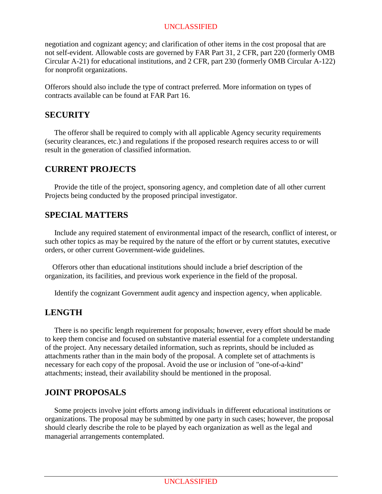negotiation and cognizant agency; and clarification of other items in the cost proposal that are not self-evident. Allowable costs are governed by FAR Part 31, 2 CFR, part 220 (formerly OMB Circular A-21) for educational institutions, and 2 CFR, part 230 (formerly OMB Circular A-122) for nonprofit organizations.

Offerors should also include the type of contract preferred. More information on types of contracts available can be found at FAR Part 16.

#### <span id="page-9-0"></span>**SECURITY**

 The offeror shall be required to comply with all applicable Agency security requirements (security clearances, etc.) and regulations if the proposed research requires access to or will result in the generation of classified information.

#### <span id="page-9-1"></span>**CURRENT PROJECTS**

 Provide the title of the project, sponsoring agency, and completion date of all other current Projects being conducted by the proposed principal investigator.

## <span id="page-9-2"></span>**SPECIAL MATTERS**

 Include any required statement of environmental impact of the research, conflict of interest, or such other topics as may be required by the nature of the effort or by current statutes, executive orders, or other current Government-wide guidelines.

 Offerors other than educational institutions should include a brief description of the organization, its facilities, and previous work experience in the field of the proposal.

Identify the cognizant Government audit agency and inspection agency, when applicable.

## <span id="page-9-3"></span>**LENGTH**

 There is no specific length requirement for proposals; however, every effort should be made to keep them concise and focused on substantive material essential for a complete understanding of the project. Any necessary detailed information, such as reprints, should be included as attachments rather than in the main body of the proposal. A complete set of attachments is necessary for each copy of the proposal. Avoid the use or inclusion of "one-of-a-kind" attachments; instead, their availability should be mentioned in the proposal.

## <span id="page-9-4"></span>**JOINT PROPOSALS**

 Some projects involve joint efforts among individuals in different educational institutions or organizations. The proposal may be submitted by one party in such cases; however, the proposal should clearly describe the role to be played by each organization as well as the legal and managerial arrangements contemplated.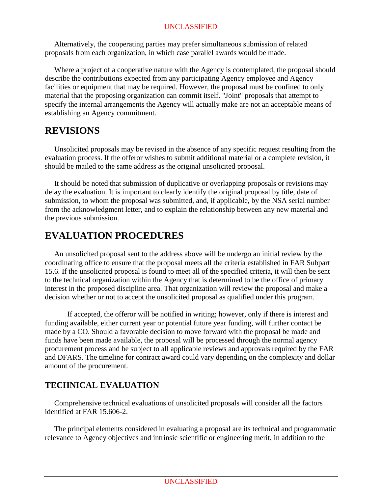Alternatively, the cooperating parties may prefer simultaneous submission of related proposals from each organization, in which case parallel awards would be made.

 Where a project of a cooperative nature with the Agency is contemplated, the proposal should describe the contributions expected from any participating Agency employee and Agency facilities or equipment that may be required. However, the proposal must be confined to only material that the proposing organization can commit itself. "Joint" proposals that attempt to specify the internal arrangements the Agency will actually make are not an acceptable means of establishing an Agency commitment.

## <span id="page-10-0"></span>**REVISIONS**

 Unsolicited proposals may be revised in the absence of any specific request resulting from the evaluation process. If the offeror wishes to submit additional material or a complete revision, it should be mailed to the same address as the original unsolicited proposal.

 It should be noted that submission of duplicative or overlapping proposals or revisions may delay the evaluation. It is important to clearly identify the original proposal by title, date of submission, to whom the proposal was submitted, and, if applicable, by the NSA serial number from the acknowledgment letter, and to explain the relationship between any new material and the previous submission.

# <span id="page-10-1"></span>**EVALUATION PROCEDURES**

 An unsolicited proposal sent to the address above will be undergo an initial review by the coordinating office to ensure that the proposal meets all the criteria established in FAR Subpart 15.6. If the unsolicited proposal is found to meet all of the specified criteria, it will then be sent to the technical organization within the Agency that is determined to be the office of primary interest in the proposed discipline area. That organization will review the proposal and make a decision whether or not to accept the unsolicited proposal as qualified under this program.

If accepted, the offeror will be notified in writing; however, only if there is interest and funding available, either current year or potential future year funding, will further contact be made by a CO. Should a favorable decision to move forward with the proposal be made and funds have been made available, the proposal will be processed through the normal agency procurement process and be subject to all applicable reviews and approvals required by the FAR and DFARS. The timeline for contract award could vary depending on the complexity and dollar amount of the procurement.

## <span id="page-10-2"></span>**TECHNICAL EVALUATION**

 Comprehensive technical evaluations of unsolicited proposals will consider all the factors identified at FAR 15.606-2.

 The principal elements considered in evaluating a proposal are its technical and programmatic relevance to Agency objectives and intrinsic scientific or engineering merit, in addition to the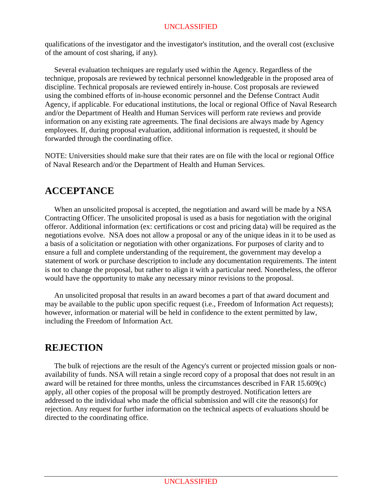qualifications of the investigator and the investigator's institution, and the overall cost (exclusive of the amount of cost sharing, if any).

 Several evaluation techniques are regularly used within the Agency. Regardless of the technique, proposals are reviewed by technical personnel knowledgeable in the proposed area of discipline. Technical proposals are reviewed entirely in-house. Cost proposals are reviewed using the combined efforts of in-house economic personnel and the Defense Contract Audit Agency, if applicable. For educational institutions, the local or regional Office of Naval Research and/or the Department of Health and Human Services will perform rate reviews and provide information on any existing rate agreements. The final decisions are always made by Agency employees. If, during proposal evaluation, additional information is requested, it should be forwarded through the coordinating office.

NOTE: Universities should make sure that their rates are on file with the local or regional Office of Naval Research and/or the Department of Health and Human Services.

# <span id="page-11-0"></span>**ACCEPTANCE**

 When an unsolicited proposal is accepted, the negotiation and award will be made by a NSA Contracting Officer. The unsolicited proposal is used as a basis for negotiation with the original offeror. Additional information (ex: certifications or cost and pricing data) will be required as the negotiations evolve. NSA does not allow a proposal or any of the unique ideas in it to be used as a basis of a solicitation or negotiation with other organizations. For purposes of clarity and to ensure a full and complete understanding of the requirement, the government may develop a statement of work or purchase description to include any documentation requirements. The intent is not to change the proposal, but rather to align it with a particular need. Nonetheless, the offeror would have the opportunity to make any necessary minor revisions to the proposal.

 An unsolicited proposal that results in an award becomes a part of that award document and may be available to the public upon specific request (i.e., Freedom of Information Act requests); however, information or material will be held in confidence to the extent permitted by law, including the Freedom of Information Act.

# <span id="page-11-1"></span>**REJECTION**

 The bulk of rejections are the result of the Agency's current or projected mission goals or nonavailability of funds. NSA will retain a single record copy of a proposal that does not result in an award will be retained for three months, unless the circumstances described in FAR 15.609(c) apply, all other copies of the proposal will be promptly destroyed. Notification letters are addressed to the individual who made the official submission and will cite the reason(s) for rejection. Any request for further information on the technical aspects of evaluations should be directed to the coordinating office.